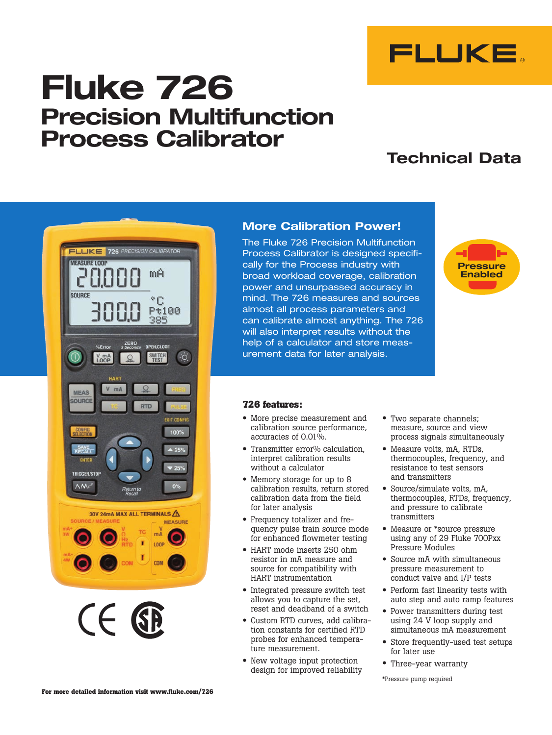

# **Fluke 726 Precision Multifunction Process Calibrator**

# **Technical Data**



 $($   $\in$ 

### **More Calibration Power!**

The Fluke 726 Precision Multifunction Process Calibrator is designed specifically for the Process industry with broad workload coverage, calibration power and unsurpassed accuracy in mind. The 726 measures and sources almost all process parameters and can calibrate almost anything. The 726 will also interpret results without the help of a calculator and store measurement data for later analysis.



### **726 features:**

- More precise measurement and calibration source performance, accuracies of 0.01%.
- Transmitter error% calculation. interpret calibration results without a calculator
- Memory storage for up to 8 calibration results, return stored calibration data from the field for later analysis
- Frequency totalizer and frequency pulse train source mode for enhanced flowmeter testing
- HART mode inserts 250 ohm resistor in mA measure and source for compatibility with HART instrumentation
- Integrated pressure switch test allows you to capture the set, reset and deadband of a switch
- Custom RTD curves, add calibration constants for certified RTD probes for enhanced temperature measurement.
- New voltage input protection design for improved reliability
- Two separate channels; measure, source and view process signals simultaneously
- Measure volts, mA, RTDs, thermocouples, frequency, and resistance to test sensors and transmitters
- Source/simulate volts, mA, thermocouples, RTDs, frequency, and pressure to calibrate transmitters
- Measure or \*source pressure using any of 29 Fluke 700Pxx Pressure Modules
- Source mA with simultaneous pressure measurement to conduct valve and I/P tests
- Perform fast linearity tests with auto step and auto ramp features
- Power transmitters during test using 24 V loop supply and simultaneous mA measurement
- Store frequently-used test setups for later use
- Three-year warranty

\*Pressure pump required